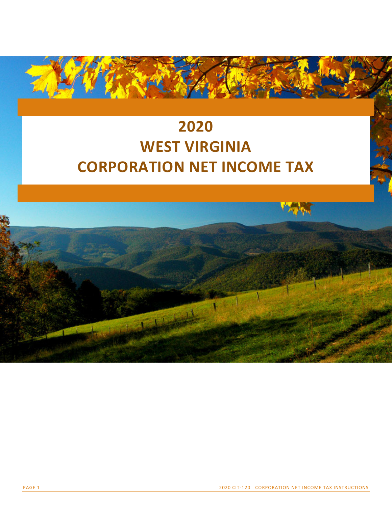# **2020 WEST VIRGINIA CORPORATION NET INCOME TAX**

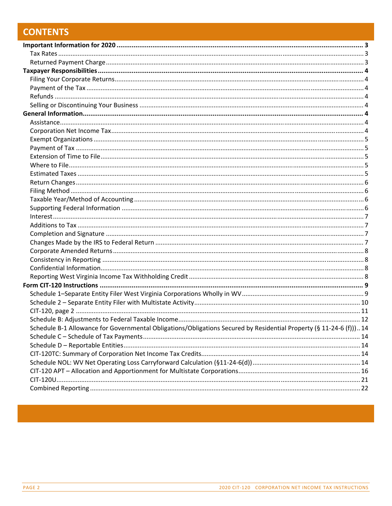# **CONTENTS**

| Schedule B-1 Allowance for Governmental Obligations/Obligations Secured by Residential Property (§ 11-24-6 (f)))14 |  |
|--------------------------------------------------------------------------------------------------------------------|--|
|                                                                                                                    |  |
|                                                                                                                    |  |
|                                                                                                                    |  |
|                                                                                                                    |  |
|                                                                                                                    |  |
|                                                                                                                    |  |
|                                                                                                                    |  |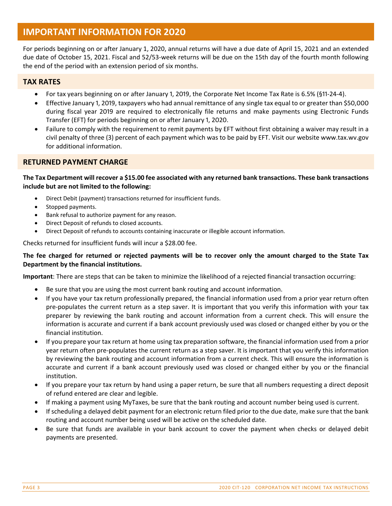## **IMPORTANT INFORMATION FOR 2020**

For periods beginning on or after January 1, 2020, annual returns will have a due date of April 15, 2021 and an extended due date of October 15, 2021. Fiscal and 52/53‐week returns will be due on the 15th day of the fourth month following the end of the period with an extension period of six months.

#### **TAX RATES**

- For tax years beginning on or after January 1, 2019, the Corporate Net Income Tax Rate is 6.5% (§11-24-4).
- Effective January 1, 2019, taxpayers who had annual remittance of any single tax equal to or greater than \$50,000 during fiscal year 2019 are required to electronically file returns and make payments using Electronic Funds Transfer (EFT) for periods beginning on or after January 1, 2020.
- Failure to comply with the requirement to remit payments by EFT without first obtaining a waiver may result in a civil penalty of three (3) percent of each payment which was to be paid by EFT. Visit our website www.tax.wv.gov for additional information.

#### **RETURNED PAYMENT CHARGE**

The Tax Department will recover a \$15.00 fee associated with any returned bank transactions. These bank transactions **include but are not limited to the following:**

- Direct Debit (payment) transactions returned for insufficient funds.
- Stopped payments.
- Bank refusal to authorize payment for any reason.
- Direct Deposit of refunds to closed accounts.
- Direct Deposit of refunds to accounts containing inaccurate or illegible account information.

Checks returned for insufficient funds will incur a \$28.00 fee.

#### The fee charged for returned or rejected payments will be to recover only the amount charged to the State Tax **Department by the financial institutions.**

**Important**: There are steps that can be taken to minimize the likelihood of a rejected financial transaction occurring:

- Be sure that you are using the most current bank routing and account information.
- If you have your tax return professionally prepared, the financial information used from a prior year return often pre‐populates the current return as a step saver. It is important that you verify this information with your tax preparer by reviewing the bank routing and account information from a current check. This will ensure the information is accurate and current if a bank account previously used was closed or changed either by you or the financial institution.
- If you prepare your tax return at home using tax preparation software, the financial information used from a prior year return often pre‐populates the current return as a step saver. It is important that you verify this information by reviewing the bank routing and account information from a current check. This will ensure the information is accurate and current if a bank account previously used was closed or changed either by you or the financial institution.
- If you prepare your tax return by hand using a paper return, be sure that all numbers requesting a direct deposit of refund entered are clear and legible.
- If making a payment using MyTaxes, be sure that the bank routing and account number being used is current.
- If scheduling a delayed debit payment for an electronic return filed prior to the due date, make sure that the bank routing and account number being used will be active on the scheduled date.
- Be sure that funds are available in your bank account to cover the payment when checks or delayed debit payments are presented.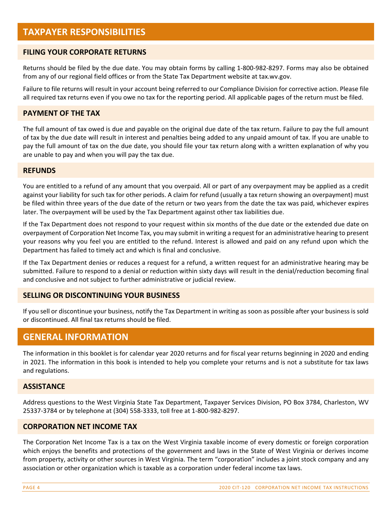#### **FILING YOUR CORPORATE RETURNS**

Returns should be filed by the due date. You may obtain forms by calling 1‐800‐982‐8297. Forms may also be obtained from any of our regional field offices or from the State Tax Department website at tax.wv.gov.

Failure to file returns will result in your account being referred to our Compliance Division for corrective action. Please file all required tax returns even if you owe no tax for the reporting period. All applicable pages of the return must be filed.

#### **PAYMENT OF THE TAX**

The full amount of tax owed is due and payable on the original due date of the tax return. Failure to pay the full amount of tax by the due date will result in interest and penalties being added to any unpaid amount of tax. If you are unable to pay the full amount of tax on the due date, you should file your tax return along with a written explanation of why you are unable to pay and when you will pay the tax due.

#### **REFUNDS**

You are entitled to a refund of any amount that you overpaid. All or part of any overpayment may be applied as a credit against your liability for such tax for other periods. A claim for refund (usually a tax return showing an overpayment) must be filed within three years of the due date of the return or two years from the date the tax was paid, whichever expires later. The overpayment will be used by the Tax Department against other tax liabilities due.

If the Tax Department does not respond to your request within six months of the due date or the extended due date on overpayment of Corporation Net Income Tax, you may submit in writing a request for an administrative hearing to present your reasons why you feel you are entitled to the refund. Interest is allowed and paid on any refund upon which the Department has failed to timely act and which is final and conclusive.

If the Tax Department denies or reduces a request for a refund, a written request for an administrative hearing may be submitted. Failure to respond to a denial or reduction within sixty days will result in the denial/reduction becoming final and conclusive and not subject to further administrative or judicial review.

#### **SELLING OR DISCONTINUING YOUR BUSINESS**

If you sell or discontinue your business, notify the Tax Department in writing as soon as possible after your business is sold or discontinued. All final tax returns should be filed.

## **GENERAL INFORMATION**

The information in this booklet is for calendar year 2020 returns and for fiscal year returns beginning in 2020 and ending in 2021. The information in this book is intended to help you complete your returns and is not a substitute for tax laws and regulations.

#### **ASSISTANCE**

Address questions to the West Virginia State Tax Department, Taxpayer Services Division, PO Box 3784, Charleston, WV 25337‐3784 or by telephone at (304) 558‐3333, toll free at 1‐800‐982‐8297.

#### **CORPORATION NET INCOME TAX**

The Corporation Net Income Tax is a tax on the West Virginia taxable income of every domestic or foreign corporation which enjoys the benefits and protections of the government and laws in the State of West Virginia or derives income from property, activity or other sources in West Virginia. The term "corporation" includes a joint stock company and any association or other organization which is taxable as a corporation under federal income tax laws.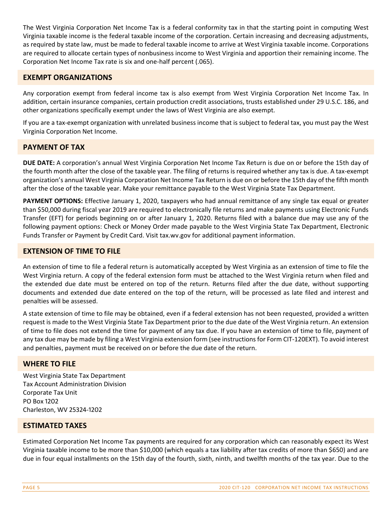The West Virginia Corporation Net Income Tax is a federal conformity tax in that the starting point in computing West Virginia taxable income is the federal taxable income of the corporation. Certain increasing and decreasing adjustments, as required by state law, must be made to federal taxable income to arrive at West Virginia taxable income. Corporations are required to allocate certain types of nonbusiness income to West Virginia and apportion their remaining income. The Corporation Net Income Tax rate is six and one‐half percent (.065).

#### **EXEMPT ORGANIZATIONS**

Any corporation exempt from federal income tax is also exempt from West Virginia Corporation Net Income Tax. In addition, certain insurance companies, certain production credit associations, trusts established under 29 U.S.C. 186, and other organizations specifically exempt under the laws of West Virginia are also exempt.

If you are a tax‐exempt organization with unrelated business income that is subject to federal tax, you must pay the West Virginia Corporation Net Income.

#### **PAYMENT OF TAX**

**DUE DATE:** A corporation's annual West Virginia Corporation Net Income Tax Return is due on or before the 15th day of the fourth month after the close of the taxable year. The filing of returns is required whether any tax is due. A tax‐exempt organization's annual West Virginia Corporation Net Income Tax Return is due on or before the 15th day of the fifth month after the close of the taxable year. Make your remittance payable to the West Virginia State Tax Department.

**PAYMENT OPTIONS:** Effective January 1, 2020, taxpayers who had annual remittance of any single tax equal or greater than \$50,000 during fiscal year 2019 are required to electronically file returns and make payments using Electronic Funds Transfer (EFT) for periods beginning on or after January 1, 2020. Returns filed with a balance due may use any of the following payment options: Check or Money Order made payable to the West Virginia State Tax Department, Electronic Funds Transfer or Payment by Credit Card. Visit tax.wv.gov for additional payment information.

#### **EXTENSION OF TIME TO FILE**

An extension of time to file a federal return is automatically accepted by West Virginia as an extension of time to file the West Virginia return. A copy of the federal extension form must be attached to the West Virginia return when filed and the extended due date must be entered on top of the return. Returns filed after the due date, without supporting documents and extended due date entered on the top of the return, will be processed as late filed and interest and penalties will be assessed.

A state extension of time to file may be obtained, even if a federal extension has not been requested, provided a written request is made to the West Virginia State Tax Department prior to the due date of the West Virginia return. An extension of time to file does not extend the time for payment of any tax due. If you have an extension of time to file, payment of any tax due may be made by filing a West Virginia extension form (see instructionsfor Form CIT‐120EXT). To avoid interest and penalties, payment must be received on or before the due date of the return.

#### **WHERE TO FILE**

West Virginia State Tax Department Tax Account Administration Division Corporate Tax Unit PO Box 1202 Charleston, WV 25324-1202

#### **ESTIMATED TAXES**

Estimated Corporation Net Income Tax payments are required for any corporation which can reasonably expect its West Virginia taxable income to be more than \$10,000 (which equals a tax liability after tax credits of more than \$650) and are due in four equal installments on the 15th day of the fourth, sixth, ninth, and twelfth months of the tax year. Due to the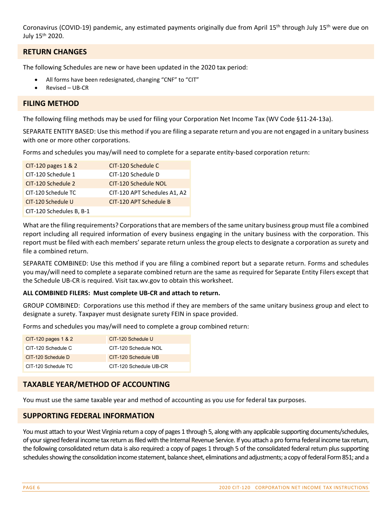Coronavirus (COVID-19) pandemic, any estimated payments originally due from April 15<sup>th</sup> through July 15<sup>th</sup> were due on July 15th 2020.

#### **RETURN CHANGES**

The following Schedules are new or have been updated in the 2020 tax period:

- All forms have been redesignated, changing "CNF" to "CIT"
- Revised UB‐CR

#### **FILING METHOD**

The following filing methods may be used for filing your Corporation Net Income Tax (WV Code §11-24-13a).

SEPARATE ENTITY BASED: Use this method if you are filing a separate return and you are not engaged in a unitary business with one or more other corporations.

Forms and schedules you may/will need to complete for a separate entity-based corporation return:

| CIT-120 pages 1 & 2      | CIT-120 Schedule C           |
|--------------------------|------------------------------|
| CIT-120 Schedule 1       | CIT-120 Schedule D           |
| CIT-120 Schedule 2       | CIT-120 Schedule NOL         |
| CIT-120 Schedule TC      | CIT-120 APT Schedules A1, A2 |
| CIT-120 Schedule U       | CIT-120 APT Schedule B       |
| CIT-120 Schedules B, B-1 |                              |

What are the filing requirements? Corporations that are members of the same unitary business group must file a combined report including all required information of every business engaging in the unitary business with the corporation. This report must be filed with each members' separate return unless the group elects to designate a corporation as surety and file a combined return.

SEPARATE COMBINED: Use this method if you are filing a combined report but a separate return. Forms and schedules you may/will need to complete a separate combined return are the same as required for Separate Entity Filers except that the Schedule UB‐CR is required. Visit tax.wv.gov to obtain this worksheet.

#### **ALL COMBINED FILERS: Must complete UB‐CR and attach to return.**

GROUP COMBINED: Corporations use this method if they are members of the same unitary business group and elect to designate a surety. Taxpayer must designate surety FEIN in space provided.

Forms and schedules you may/will need to complete a group combined return:

| CIT-120 pages 1 & 2 | CIT-120 Schedule U     |
|---------------------|------------------------|
| CIT-120 Schedule C  | CIT-120 Schedule NOL   |
| CIT-120 Schedule D  | CIT-120 Schedule UB    |
| CIT-120 Schedule TC | CIT-120 Schedule UB-CR |

#### **TAXABLE YEAR/METHOD OF ACCOUNTING**

You must use the same taxable year and method of accounting as you use for federal tax purposes.

#### **SUPPORTING FEDERAL INFORMATION**

You must attach to your West Virginia return a copy of pages 1 through 5, along with any applicable supporting documents/schedules, of yoursigned federal income tax return asfiled with the Internal Revenue Service. If you attach a pro forma federal income tax return, the following consolidated return data is also required: a copy of pages 1 through 5 of the consolidated federal return plussupporting schedules showing the consolidation income statement, balance sheet, eliminations and adjustments; a copy of federal Form 851; and a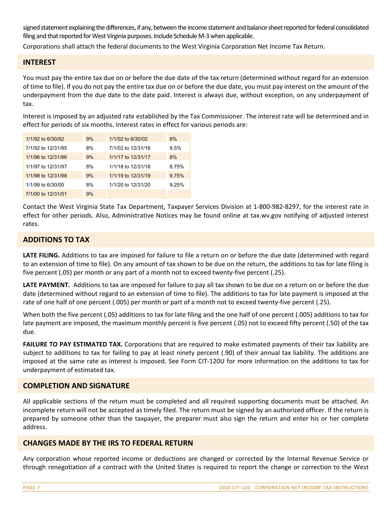signed statement explaining the differences, if any, between the income statement and balance sheet reported for federal consolidated filing and that reported for West Virginia purposes. Include Schedule M-3 when applicable.

Corporations shall attach the federal documents to the West Virginia Corporation Net Income Tax Return.

#### **INTEREST**

You must pay the entire tax due on or before the due date of the tax return (determined without regard for an extension of time to file). If you do not pay the entire tax due on or before the due date, you must pay interest on the amount of the underpayment from the due date to the date paid. Interest is always due, without exception, on any underpayment of tax.

Interest is imposed by an adjusted rate established by the Tax Commissioner. The interest rate will be determined and in effect for periods of six months. Interest rates in effect for various periods are:

| 1/1/92 to 6/30/92  | 9% | 1/1/02 to 6/30/02  | 8%    |
|--------------------|----|--------------------|-------|
| 7/1/92 to 12/31/95 | 8% | 7/1/02 to 12/31/16 | 9.5%  |
| 1/1/96 to 12/31/96 | 9% | 1/1/17 to 12/31/17 | 8%    |
| 1/1/97 to 12/31/97 | 8% | 1/1/18 to 12/31/18 | 8.75% |
| 1/1/98 to 12/31/98 | 9% | 1/1/19 to 12/31/19 | 9.75% |
| 1/1/99 to 6/30/00  | 8% | 1/1/20 to 12/31/20 | 9.25% |
| 7/1/00 to 12/31/01 | 9% |                    |       |

Contact the West Virginia State Tax Department, Taxpayer Services Division at 1‐800‐982‐8297, for the interest rate in effect for other periods. Also, Administrative Notices may be found online at tax.wv.gov notifying of adjusted interest rates.

#### **ADDITIONS TO TAX**

**LATE FILING.** Additions to tax are imposed for failure to file a return on or before the due date (determined with regard to an extension of time to file). On any amount of tax shown to be due on the return, the additions to tax for late filing is five percent (.05) per month or any part of a month not to exceed twenty‐five percent (.25).

**LATE PAYMENT.** Additions to tax are imposed for failure to pay all tax shown to be due on a return on or before the due date (determined without regard to an extension of time to file). The additions to tax for late payment is imposed at the rate of one half of one percent (.005) per month or part of a month not to exceed twenty-five percent (.25).

When both the five percent (.05) additions to tax for late filing and the one half of one percent (.005) additions to tax for late payment are imposed, the maximum monthly percent is five percent (.05) not to exceed fifty percent (.50) of the tax due.

**FAILURE TO PAY ESTIMATED TAX.** Corporations that are required to make estimated payments of their tax liability are subject to additions to tax for failing to pay at least ninety percent (.90) of their annual tax liability. The additions are imposed at the same rate as interest is imposed. See Form CIT‐120U for more information on the additions to tax for underpayment of estimated tax.

#### **COMPLETION AND SIGNATURE**

All applicable sections of the return must be completed and all required supporting documents must be attached. An incomplete return will not be accepted as timely filed. The return must be signed by an authorized officer. If the return is prepared by someone other than the taxpayer, the preparer must also sign the return and enter his or her complete address.

#### **CHANGES MADE BY THE IRS TO FEDERAL RETURN**

Any corporation whose reported income or deductions are changed or corrected by the Internal Revenue Service or through renegotiation of a contract with the United States is required to report the change or correction to the West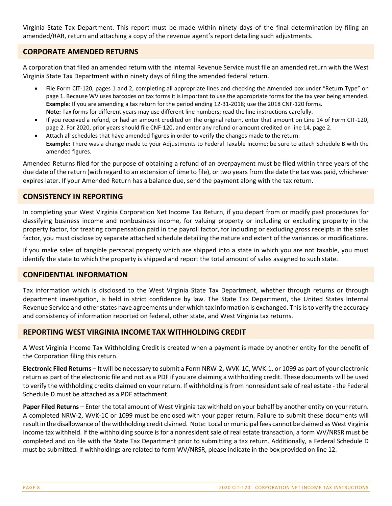Virginia State Tax Department. This report must be made within ninety days of the final determination by filing an amended/RAR, return and attaching a copy of the revenue agent's report detailing such adjustments.

#### **CORPORATE AMENDED RETURNS**

A corporation that filed an amended return with the Internal Revenue Service must file an amended return with the West Virginia State Tax Department within ninety days of filing the amended federal return.

- File Form CIT-120, pages 1 and 2, completing all appropriate lines and checking the Amended box under "Return Type" on page 1. Because WV uses barcodes on tax forms it is important to use the appropriate forms for the tax year being amended. **Example**: If you are amending a tax return for the period ending 12‐31‐2018; use the 2018 CNF‐120 forms. **Note:** Tax forms for different years may use different line numbers; read the line instructions carefully.
- If you received a refund, or had an amount credited on the original return, enter that amount on Line 14 of Form CIT‐120, page 2. For 2020, prior years should file CNF‐120, and enter any refund or amount credited on line 14, page 2.
- Attach all schedules that have amended figures in order to verify the changes made to the return. **Example:** There was a change made to your Adjustments to Federal Taxable Income; be sure to attach Schedule B with the amended figures.

Amended Returns filed for the purpose of obtaining a refund of an overpayment must be filed within three years of the due date of the return (with regard to an extension of time to file), or two years from the date the tax was paid, whichever expires later. If your Amended Return has a balance due, send the payment along with the tax return.

#### **CONSISTENCY IN REPORTING**

In completing your West Virginia Corporation Net Income Tax Return, if you depart from or modify past procedures for classifying business income and nonbusiness income, for valuing property or including or excluding property in the property factor, for treating compensation paid in the payroll factor, for including or excluding gross receipts in the sales factor, you must disclose by separate attached schedule detailing the nature and extent of the variances or modifications.

If you make sales of tangible personal property which are shipped into a state in which you are not taxable, you must identify the state to which the property is shipped and report the total amount of sales assigned to such state.

#### **CONFIDENTIAL INFORMATION**

Tax information which is disclosed to the West Virginia State Tax Department, whether through returns or through department investigation, is held in strict confidence by law. The State Tax Department, the United States Internal Revenue Service and other states have agreements under which tax information is exchanged. This is to verify the accuracy and consistency of information reported on federal, other state, and West Virginia tax returns.

#### **REPORTING WEST VIRGINIA INCOME TAX WITHHOLDING CREDIT**

A West Virginia Income Tax Withholding Credit is created when a payment is made by another entity for the benefit of the Corporation filing this return.

**Electronic Filed Returns** – It will be necessary to submit a Form NRW‐2, WVK‐1C, WVK‐1, or 1099 as part of your electronic return as part of the electronic file and not as a PDF if you are claiming a withholding credit. These documents will be used to verify the withholding credits claimed on your return. If withholding is from nonresident sale of real estate ‐ the Federal Schedule D must be attached as a PDF attachment.

**Paper Filed Returns** – Enter the total amount of West Virginia tax withheld on your behalf by another entity on your return. A completed NRW‐2, WVK‐1C or 1099 must be enclosed with your paper return. Failure to submit these documents will result in the disallowance of the withholding credit claimed. Note: Local or municipal fees cannot be claimed as West Virginia income tax withheld. If the withholding source is for a nonresident sale of real estate transaction, a form WV/NRSR must be completed and on file with the State Tax Department prior to submitting a tax return. Additionally, a Federal Schedule D must be submitted. If withholdings are related to form WV/NRSR, please indicate in the box provided on line 12.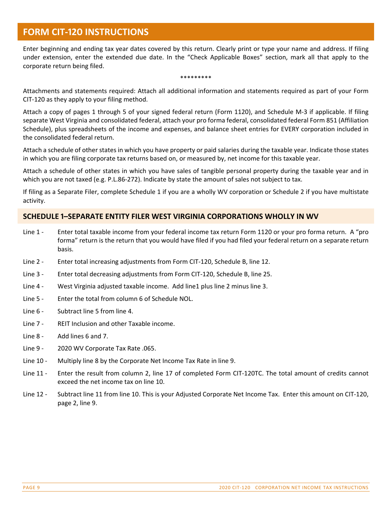## **FORM CIT-120 INSTRUCTIONS**

Enter beginning and ending tax year dates covered by this return. Clearly print or type your name and address. If filing under extension, enter the extended due date. In the "Check Applicable Boxes" section, mark all that apply to the corporate return being filed.

#### \*\*\*\*\*\*\*\*\*

Attachments and statements required: Attach all additional information and statements required as part of your Form CIT‐120 as they apply to your filing method.

Attach a copy of pages 1 through 5 of your signed federal return (Form 1120), and Schedule M‐3 if applicable. If filing separate West Virginia and consolidated federal, attach your pro forma federal, consolidated federal Form 851 (Affiliation Schedule), plus spreadsheets of the income and expenses, and balance sheet entries for EVERY corporation included in the consolidated federal return.

Attach a schedule of other states in which you have property or paid salaries during the taxable year. Indicate those states in which you are filing corporate tax returns based on, or measured by, net income for this taxable year.

Attach a schedule of other states in which you have sales of tangible personal property during the taxable year and in which you are not taxed (e.g. P.L.86-272). Indicate by state the amount of sales not subject to tax.

If filing as a Separate Filer, complete Schedule 1 if you are a wholly WV corporation or Schedule 2 if you have multistate activity.

#### **SCHEDULE ϣ–SEPARATE ENTITY FILER WEST VIRGINIA CORPORATIONS WHOLLY IN WV**

- Line 1 Enter total taxable income from your federal income tax return Form 1120 or your pro forma return. A "pro forma" return is the return that you would have filed if you had filed your federal return on a separate return basis.
- Line 2 Enter total increasing adjustments from Form CIT-120, Schedule B, line 12.
- Line 3 Enter total decreasing adjustments from Form CIT-120, Schedule B, line 25.
- Line 4 West Virginia adjusted taxable income. Add line 1 plus line 2 minus line 3.
- Line 5 Enter the total from column 6 of Schedule NOL.
- Line 6 Subtract line 5 from line 4.
- Line 7 REIT Inclusion and other Taxable income.
- Line 8 Add lines 6 and 7.
- Line 9 2020 WV Corporate Tax Rate .065.
- Line 10 Multiply line 8 by the Corporate Net Income Tax Rate in line 9.
- Line 11 Enter the result from column 2, line 17 of completed Form CIT-120TC. The total amount of credits cannot exceed the net income tax on line 10.
- Line 12 Subtract line 11 from line 10. This is your Adjusted Corporate Net Income Tax. Enter this amount on CIT-120, page 2, line 9.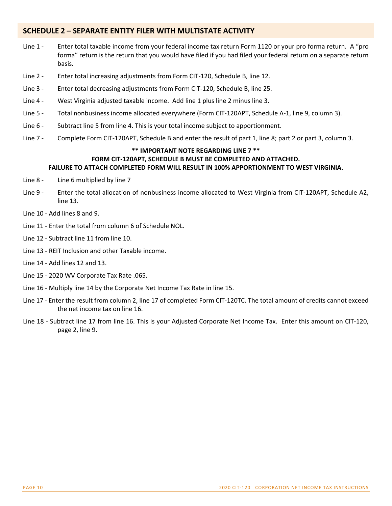#### **SCHEDULE Ϥ – SEPARATE ENTITY FILER WITH MULTISTATE ACTIVITY**

- Line 1 Enter total taxable income from your federal income tax return Form 1120 or your pro forma return. A "pro forma" return is the return that you would have filed if you had filed your federal return on a separate return basis.
- Line 2 Enter total increasing adjustments from Form CIT-120, Schedule B, line 12.
- Line 3 Enter total decreasing adjustments from Form CIT-120, Schedule B, line 25.
- Line 4 West Virginia adjusted taxable income. Add line 1 plus line 2 minus line 3.
- Line 5 Total nonbusiness income allocated everywhere (Form CIT-120APT, Schedule A-1, line 9, column 3).
- Line 6 Subtract line 5 from line 4. This is your total income subject to apportionment.
- Line 7 Complete Form CIT-120APT, Schedule B and enter the result of part 1, line 8; part 2 or part 3, column 3.

#### **\*\* IMPORTANT NOTE REGARDING LINE 7 \*\* FORM CIT‐120APT, SCHEDULE B MUST BE COMPLETED AND ATTACHED. FAILURE TO ATTACH COMPLETED FORM WILL RESULT IN 100% APPORTIONMENT TO WEST VIRGINIA.**

- Line 8 Line 6 multiplied by line 7
- Line 9 Enter the total allocation of nonbusiness income allocated to West Virginia from CIT-120APT, Schedule A2, line 13.
- Line 10 ‐ Add lines 8 and 9.
- Line 11 ‐ Enter the total from column 6 of Schedule NOL.
- Line 12 ‐ Subtract line 11 from line 10.
- Line 13 ‐ REIT Inclusion and other Taxable income.
- Line 14 ‐ Add lines 12 and 13.
- Line 15 ‐ 2020 WV Corporate Tax Rate .065.
- Line 16 ‐ Multiply line 14 by the Corporate Net Income Tax Rate in line 15.
- Line 17 ‐ Enter the result from column 2, line 17 of completed Form CIT‐120TC. The total amount of credits cannot exceed the net income tax on line 16.
- Line 18 ‐ Subtract line 17 from line 16. This is your Adjusted Corporate Net Income Tax. Enter this amount on CIT‐120, page 2, line 9.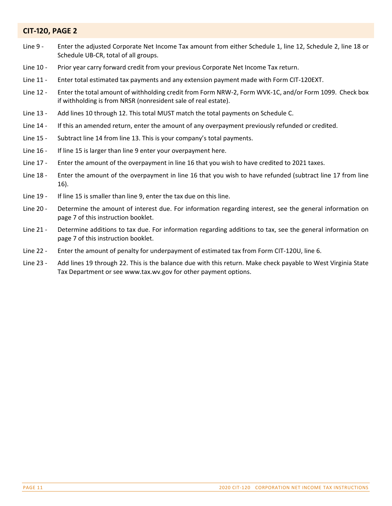#### $CIT-120$ , **PAGE 2**

- Line 9 Enter the adjusted Corporate Net Income Tax amount from either Schedule 1, line 12, Schedule 2, line 18 or Schedule UB‐CR, total of all groups.
- Line 10 Prior year carry forward credit from your previous Corporate Net Income Tax return.
- Line 11 Enter total estimated tax payments and any extension payment made with Form CIT-120EXT.
- Line 12 Enter the total amount of withholding credit from Form NRW-2, Form WVK-1C, and/or Form 1099. Check box if withholding is from NRSR (nonresident sale of real estate).
- Line 13 Add lines 10 through 12. This total MUST match the total payments on Schedule C.
- Line 14 If this an amended return, enter the amount of any overpayment previously refunded or credited.
- Line 15 Subtract line 14 from line 13. This is your company's total payments.
- Line 16 If line 15 is larger than line 9 enter your overpayment here.
- Line 17 Enter the amount of the overpayment in line 16 that you wish to have credited to 2021 taxes.
- Line 18 Enter the amount of the overpayment in line 16 that you wish to have refunded (subtract line 17 from line 16).
- Line 19 If line 15 is smaller than line 9, enter the tax due on this line.
- Line 20 Determine the amount of interest due. For information regarding interest, see the general information on page 7 of this instruction booklet.
- Line 21 Determine additions to tax due. For information regarding additions to tax, see the general information on page 7 of this instruction booklet.
- Line 22 Enter the amount of penalty for underpayment of estimated tax from Form CIT-120U, line 6.
- Line 23 Add lines 19 through 22. This is the balance due with this return. Make check payable to West Virginia State Tax Department or see www.tax.wv.gov for other payment options.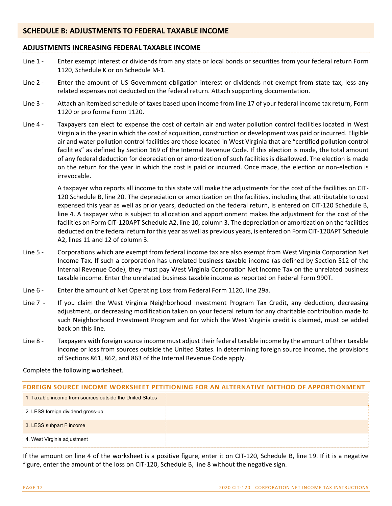#### **SCHEDULE B: ADJUSTMENTS TO FEDERAL TAXABLE INCOME**

#### **ADJUSTMENTS INCREASING FEDERAL TAXABLE INCOME**

- Line 1 Enter exempt interest or dividends from any state or local bonds or securities from your federal return Form 1120, Schedule K or on Schedule M‐1.
- Line 2 Enter the amount of US Government obligation interest or dividends not exempt from state tax, less any related expenses not deducted on the federal return. Attach supporting documentation.
- Line 3 Attach an itemized schedule of taxes based upon income from line 17 of your federal income tax return, Form 1120 or pro forma Form 1120.
- Line 4 Taxpayers can elect to expense the cost of certain air and water pollution control facilities located in West Virginia in the year in which the cost of acquisition, construction or development was paid or incurred. Eligible air and water pollution control facilities are those located in West Virginia that are "certified pollution control facilities" as defined by Section 169 of the Internal Revenue Code. If this election is made, the total amount of any federal deduction for depreciation or amortization of such facilities is disallowed. The election is made on the return for the year in which the cost is paid or incurred. Once made, the election or non‐election is irrevocable.

A taxpayer who reports all income to this state will make the adjustments for the cost of the facilities on CIT‐ 120 Schedule B, line 20. The depreciation or amortization on the facilities, including that attributable to cost expensed this year as well as prior years, deducted on the federal return, is entered on CIT‐120 Schedule B, line 4. A taxpayer who is subject to allocation and apportionment makes the adjustment for the cost of the facilities on Form CIT‐120APT Schedule A2, line 10, column 3. The depreciation or amortization on the facilities deducted on the federal return for this year as well as previous years, is entered on Form CIT‐120APT Schedule A2, lines 11 and 12 of column 3.

- Line 5 Corporations which are exempt from federal income tax are also exempt from West Virginia Corporation Net Income Tax. If such a corporation has unrelated business taxable income (as defined by Section 512 of the Internal Revenue Code), they must pay West Virginia Corporation Net Income Tax on the unrelated business taxable income. Enter the unrelated business taxable income as reported on Federal Form 990T.
- Line 6 Enter the amount of Net Operating Loss from Federal Form 1120, line 29a.
- Line 7 If you claim the West Virginia Neighborhood Investment Program Tax Credit, any deduction, decreasing adjustment, or decreasing modification taken on your federal return for any charitable contribution made to such Neighborhood Investment Program and for which the West Virginia credit is claimed, must be added back on this line.
- Line 8 Taxpayers with foreign source income must adjust their federal taxable income by the amount of their taxable income or loss from sources outside the United States. In determining foreign source income, the provisions of Sections 861, 862, and 863 of the Internal Revenue Code apply.

Complete the following worksheet.

| FOREIGN SOURCE INCOME WORKSHEET PETITIONING FOR AN ALTERNATIVE METHOD OF APPORTIONMENT |  |  |
|----------------------------------------------------------------------------------------|--|--|
| 1. Taxable income from sources outside the United States                               |  |  |
| 2. LESS foreign dividend gross-up                                                      |  |  |
| 3. LESS subpart F income                                                               |  |  |
| $\frac{1}{2}$ 4. West Virginia adjustment                                              |  |  |

If the amount on line 4 of the worksheet is a positive figure, enter it on CIT‐120, Schedule B, line 19. If it is a negative figure, enter the amount of the loss on CIT‐120, Schedule B, line 8 without the negative sign.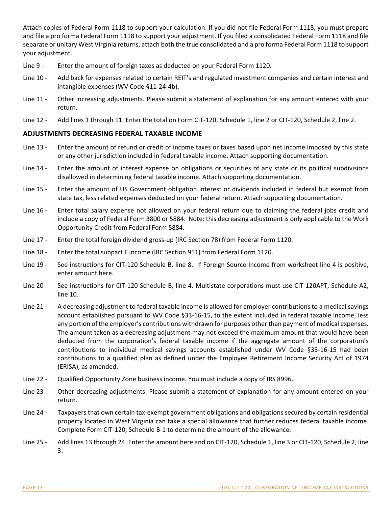Attach copies of Federal Form 1118 to support your calculation. If you did not file Federal Form 1118, you must prepare and file a pro forma Federal Form 1118 to support your adjustment. If you filed a consolidated Federal Form 1118 and file separate or unitary West Virginia returns, attach both the true consolidated and a pro forma Federal Form 1118 to support your adjustment.

- Line 9 Enter the amount of foreign taxes as deducted on your Federal Form 1120.
- Line 10 Add back for expenses related to certain REIT's and regulated investment companies and certain interest and intangible expenses (WV Code §11‐24‐4b).
- Line 11 Other increasing adjustments. Please submit a statement of explanation for any amount entered with your return.
- Line 12 Add lines 1 through 11. Enter the total on Form CIT-120, Schedule 1, line 2 or CIT-120, Schedule 2, line 2.

#### **ADJUSTMENTS DECREASING FEDERAL TAXABLE INCOME**

- Line 13 Enter the amount of refund or credit of income taxes or taxes based upon net income imposed by this state or any other jurisdiction included in federal taxable income. Attach supporting documentation.
- Line 14 Enter the amount of interest expense on obligations or securities of any state or its political subdivisions disallowed in determining federal taxable income. Attach supporting documentation.
- Line 15 Enter the amount of US Government obligation interest or dividends included in federal but exempt from state tax, less related expenses deducted on your federal return. Attach supporting documentation.
- Line 16 Enter total salary expense not allowed on your federal return due to claiming the federal jobs credit and include a copy of Federal Form 3800 or 5884. Note: this decreasing adjustment is only applicable to the Work Opportunity Credit from Federal Form 5884.
- Line 17 Enter the total foreign dividend gross-up (IRC Section 78) from Federal Form 1120.
- Line 18 Enter the total subpart F income (IRC Section 951) from Federal Form 1120.
- Line 19 See instructions for CIT-120 Schedule B, line 8. If Foreign Source Income from worksheet line 4 is positive, enter amount here.
- Line 20 See instructions for CIT-120 Schedule B, line 4. Multistate corporations must use CIT-120APT, Schedule A2, line 10.
- Line 21 A decreasing adjustment to federal taxable income is allowed for employer contributions to a medical savings account established pursuant to WV Code §33‐16‐15, to the extent included in federal taxable income, less any portion of the employer's contributions withdrawn for purposes other than payment of medical expenses. The amount taken as a decreasing adjustment may not exceed the maximum amount that would have been deducted from the corporation's federal taxable income if the aggregate amount of the corporation's contributions to individual medical savings accounts established under WV Code §33‐16‐15 had been contributions to a qualified plan as defined under the Employee Retirement Income Security Act of 1974 (ERISA), as amended.
- Line 22 Qualified Opportunity Zone business income. You must include a copy of IRS 8996.
- Line 23 Other decreasing adjustments. Please submit a statement of explanation for any amount entered on your return.
- Line 24 Taxpayers that own certain tax-exempt government obligations and obligations secured by certain residential property located in West Virginia can take a special allowance that further reduces federal taxable income. Complete Form CIT‐120, Schedule B‐1 to determine the amount of the allowance.
- Line 25 Add lines 13 through 24. Enter the amount here and on CIT-120, Schedule 1, line 3 or CIT-120, Schedule 2, line 3.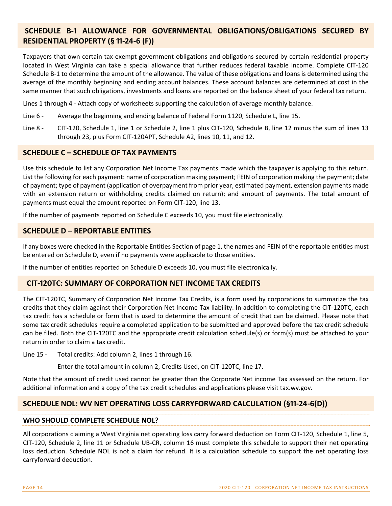### **SCHEDULE B‐ϣ ALLOWANCE FOR GOVERNMENTAL OBLIGATIONS/OBLIGATIONS SECURED BY RESIDENTIAL PROPERTY (§ 11-24-6 (F))**

Taxpayers that own certain tax‐exempt government obligations and obligations secured by certain residential property located in West Virginia can take a special allowance that further reduces federal taxable income. Complete CIT‐120 Schedule B‐1 to determine the amount of the allowance. The value of these obligations and loans is determined using the average of the monthly beginning and ending account balances. These account balances are determined at cost in the same manner that such obligations, investments and loans are reported on the balance sheet of your federal tax return.

Lines 1 through 4 ‐ Attach copy of worksheets supporting the calculation of average monthly balance.

- Line 6 Average the beginning and ending balance of Federal Form 1120, Schedule L, line 15.
- Line 8 CIT-120, Schedule 1, line 1 or Schedule 2, line 1 plus CIT-120, Schedule B, line 12 minus the sum of lines 13 through 23, plus Form CIT‐120APT, Schedule A2, lines 10, 11, and 12.

#### **SCHEDULE C – SCHEDULE OF TAX PAYMENTS**

Use this schedule to list any Corporation Net Income Tax payments made which the taxpayer is applying to this return. List the following for each payment: name of corporation making payment; FEIN of corporation making the payment; date of payment; type of payment (application of overpayment from prior year, estimated payment, extension payments made with an extension return or withholding credits claimed on return); and amount of payments. The total amount of payments must equal the amount reported on Form CIT‐120, line 13.

If the number of payments reported on Schedule C exceeds 10, you must file electronically.

#### **SCHEDULE D – REPORTABLE ENTITIES**

If any boxes were checked in the Reportable Entities Section of page 1, the names and FEIN of the reportable entities must be entered on Schedule D, even if no payments were applicable to those entities.

If the number of entities reported on Schedule D exceeds 10, you must file electronically.

#### **CIT‐ϣϤϢTC: SUMMARY OF CORPORATION NET INCOME TAX CREDITS**

The CIT‐120TC, Summary of Corporation Net Income Tax Credits, is a form used by corporations to summarize the tax credits that they claim against their Corporation Net Income Tax liability. In addition to completing the CIT‐120TC, each tax credit has a schedule or form that is used to determine the amount of credit that can be claimed. Please note that some tax credit schedules require a completed application to be submitted and approved before the tax credit schedule can be filed. Both the CIT-120TC and the appropriate credit calculation schedule(s) or form(s) must be attached to your return in order to claim a tax credit.

Line 15 - Total credits: Add column 2, lines 1 through 16.

Enter the total amount in column 2, Credits Used, on CIT‐120TC, line 17.

Note that the amount of credit used cannot be greater than the Corporate Net income Tax assessed on the return. For additional information and a copy of the tax credit schedules and applications please visit tax.wv.gov.

#### **SCHEDULE NOL: WV NET OPERATING LOSS CARRYFORWARD CALCULATION (§11-24-6(D))**

#### **WHO SHOULD COMPLETE SCHEDULE NOL?**

All corporations claiming a West Virginia net operating loss carry forward deduction on Form CIT‐120, Schedule 1, line 5, CIT‐120, Schedule 2, line 11 or Schedule UB‐CR, column 16 must complete this schedule to support their net operating loss deduction. Schedule NOL is not a claim for refund. It is a calculation schedule to support the net operating loss carryforward deduction.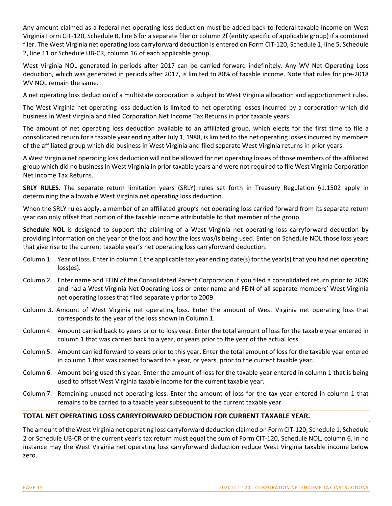Any amount claimed as a federal net operating loss deduction must be added back to federal taxable income on West Virginia Form CIT‐120, Schedule B, line 6 for a separate filer or column 2f (entity specific of applicable group) if a combined filer. The West Virginia net operating loss carryforward deduction is entered on Form CIT‐120, Schedule 1, line 5, Schedule 2, line 11 or Schedule UB‐CR, column 16 of each applicable group.

West Virginia NOL generated in periods after 2017 can be carried forward indefinitely. Any WV Net Operating Loss deduction, which was generated in periods after 2017, is limited to 80% of taxable income. Note that rules for pre‐2018 WV NOL remain the same.

A net operating loss deduction of a multistate corporation is subject to West Virginia allocation and apportionment rules.

The West Virginia net operating loss deduction is limited to net operating losses incurred by a corporation which did business in West Virginia and filed Corporation Net Income Tax Returns in prior taxable years.

The amount of net operating loss deduction available to an affiliated group, which elects for the first time to file a consolidated return for a taxable year ending after July 1, 1988, islimited to the net operating lossesincurred by members of the affiliated group which did business in West Virginia and filed separate West Virginia returns in prior years.

A West Virginia net operating loss deduction will not be allowed for net operating losses of those members of the affiliated group which did no business in West Virginia in prior taxable years and were not required to file West Virginia Corporation Net Income Tax Returns.

**SRLY RULES.** The separate return limitation years (SRLY) rules set forth in Treasury Regulation §1.1502 apply in determining the allowable West Virginia net operating loss deduction.

When the SRLY rules apply, a member of an affiliated group's net operating loss carried forward from its separate return year can only offset that portion of the taxable income attributable to that member of the group.

**Schedule NOL** is designed to support the claiming of a West Virginia net operating loss carryforward deduction by providing information on the year of the loss and how the loss was/is being used. Enter on Schedule NOL those loss years that give rise to the current taxable year's net operating loss carryforward deduction.

- Column 1. Year of loss. Enter in column 1 the applicable tax year ending date(s) for the year(s) that you had net operating loss(es).
- Column 2 Enter name and FEIN of the Consolidated Parent Corporation if you filed a consolidated return prior to 2009 and had a West Virginia Net Operating Loss or enter name and FEIN of all separate members' West Virginia net operating losses that filed separately prior to 2009.
- Column 3. Amount of West Virginia net operating loss. Enter the amount of West Virginia net operating loss that corresponds to the year of the loss shown in Column 1.
- Column 4. Amount carried back to years prior to loss year. Enter the total amount of loss for the taxable year entered in column 1 that was carried back to a year, or years prior to the year of the actual loss.
- Column 5. Amount carried forward to years prior to this year. Enter the total amount of loss for the taxable year entered in column 1 that was carried forward to a year, or years, prior to the current taxable year.
- Column 6. Amount being used this year. Enter the amount of loss for the taxable year entered in column 1 that is being used to offset West Virginia taxable income for the current taxable year.
- Column 7. Remaining unused net operating loss. Enter the amount of loss for the tax year entered in column 1 that remains to be carried to a taxable year subsequent to the current taxable year.

#### **TOTAL NET OPERATING LOSS CARRYFORWARD DEDUCTION FOR CURRENT TAXABLE YEAR.**

The amount of the West Virginia net operating loss carryforward deduction claimed on Form CIT‐120, Schedule 1, Schedule 2 or Schedule UB‐CR of the current year's tax return must equal the sum of Form CIT‐120, Schedule NOL, column 6. In no instance may the West Virginia net operating loss carryforward deduction reduce West Virginia taxable income below zero.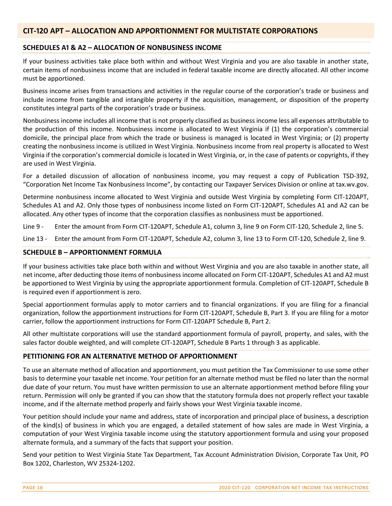#### **CIT‐ϣϤϢ APT – ALLOCATION AND APPORTIONMENT FOR MULTISTATE CORPORATIONS**

#### **SCHEDULES** A1 & A2 – ALLOCATION OF NONBUSINESS INCOME

If your business activities take place both within and without West Virginia and you are also taxable in another state, certain items of nonbusiness income that are included in federal taxable income are directly allocated. All other income must be apportioned.

Business income arises from transactions and activities in the regular course of the corporation's trade or business and include income from tangible and intangible property if the acquisition, management, or disposition of the property constitutes integral parts of the corporation's trade or business.

Nonbusiness income includes all income that is not properly classified as business income less all expenses attributable to the production of this income. Nonbusiness income is allocated to West Virginia if (1) the corporation's commercial domicile, the principal place from which the trade or business is managed is located in West Virginia; or (2) property creating the nonbusiness income is utilized in West Virginia. Nonbusiness income from real property is allocated to West Virginia if the corporation's commercial domicile is located in West Virginia, or, in the case of patents or copyrights, if they are used in West Virginia.

For a detailed discussion of allocation of nonbusiness income, you may request a copy of Publication TSD‐392, "Corporation Net Income Tax Nonbusiness Income", by contacting our Taxpayer Services Division or online at tax.wv.gov.

Determine nonbusiness income allocated to West Virginia and outside West Virginia by completing Form CIT‐120APT, Schedules A1 and A2. Only those types of nonbusiness income listed on Form CIT‐120APT, Schedules A1 and A2 can be allocated. Any other types of income that the corporation classifies as nonbusiness must be apportioned.

Line 9 - Enter the amount from Form CIT-120APT, Schedule A1, column 3, line 9 on Form CIT-120, Schedule 2, line 5.

Line 13 - Enter the amount from Form CIT-120APT, Schedule A2, column 3, line 13 to Form CIT-120, Schedule 2, line 9.

#### **SCHEDULE B – APPORTIONMENT FORMULA**

If your business activities take place both within and without West Virginia and you are also taxable in another state, all net income, after deducting those items of nonbusiness income allocated on Form CIT‐120APT, Schedules A1 and A2 must be apportioned to West Virginia by using the appropriate apportionment formula. Completion of CIT‐120APT, Schedule B is required even if apportionment is zero.

Special apportionment formulas apply to motor carriers and to financial organizations. If you are filing for a financial organization, follow the apportionment instructions for Form CIT‐120APT, Schedule B, Part 3. If you are filing for a motor carrier, follow the apportionment instructions for Form CIT‐120APT Schedule B, Part 2.

All other multistate corporations will use the standard apportionment formula of payroll, property, and sales, with the sales factor double weighted, and will complete CIT‐120APT, Schedule B Parts 1 through 3 as applicable.

#### **PETITIONING FOR AN ALTERNATIVE METHOD OF APPORTIONMENT**

To use an alternate method of allocation and apportionment, you must petition the Tax Commissioner to use some other basis to determine your taxable net income. Your petition for an alternate method must be filed no later than the normal due date of your return. You must have written permission to use an alternate apportionment method before filing your return. Permission will only be granted if you can show that the statutory formula does not properly reflect your taxable income, and if the alternate method properly and fairly shows your West Virginia taxable income.

Your petition should include your name and address, state of incorporation and principal place of business, a description of the kind(s) of business in which you are engaged, a detailed statement of how sales are made in West Virginia, a computation of your West Virginia taxable income using the statutory apportionment formula and using your proposed alternate formula, and a summary of the facts that support your position.

Send your petition to West Virginia State Tax Department, Tax Account Administration Division, Corporate Tax Unit, PO Box 1202, Charleston, WV 25324‐1202.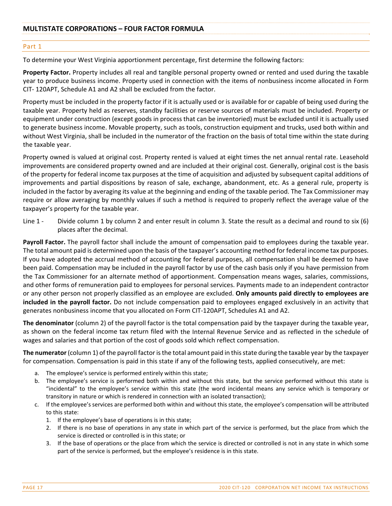#### Part 1

To determine your West Virginia apportionment percentage, first determine the following factors:

**Property Factor.** Property includes all real and tangible personal property owned or rented and used during the taxable year to produce business income. Property used in connection with the items of nonbusiness income allocated in Form CIT‐ 120APT, Schedule A1 and A2 shall be excluded from the factor.

Property must be included in the property factor if it is actually used or is available for or capable of being used during the taxable year. Property held as reserves, standby facilities or reserve sources of materials must be included. Property or equipment under construction (except goods in process that can be inventoried) must be excluded until it is actually used to generate business income. Movable property, such as tools, construction equipment and trucks, used both within and without West Virginia, shall be included in the numerator of the fraction on the basis of total time within the state during the taxable year.

Property owned is valued at original cost. Property rented is valued at eight times the net annual rental rate. Leasehold improvements are considered property owned and are included at their original cost. Generally, original cost is the basis of the property for federal income tax purposes at the time of acquisition and adjusted by subsequent capital additions of improvements and partial dispositions by reason of sale, exchange, abandonment, etc. As a general rule, property is included in the factor by averaging its value at the beginning and ending of the taxable period. The Tax Commissioner may require or allow averaging by monthly values if such a method is required to properly reflect the average value of the taxpayer's property for the taxable year.

Line 1 - Divide column 1 by column 2 and enter result in column 3. State the result as a decimal and round to six (6) places after the decimal.

**Payroll Factor.** The payroll factor shall include the amount of compensation paid to employees during the taxable year. The total amount paid is determined upon the basis of the taxpayer's accounting method for federal income tax purposes. If you have adopted the accrual method of accounting for federal purposes, all compensation shall be deemed to have been paid. Compensation may be included in the payroll factor by use of the cash basis only if you have permission from the Tax Commissioner for an alternate method of apportionment. Compensation means wages, salaries, commissions, and other forms of remuneration paid to employees for personal services. Payments made to an independent contractor or any other person not properly classified as an employee are excluded. **Only amounts paid directly to employees are included in the payroll factor.** Do not include compensation paid to employees engaged exclusively in an activity that generates nonbusiness income that you allocated on Form CIT‐120APT, Schedules A1 and A2.

**The denominator** (column 2) of the payroll factor is the total compensation paid by the taxpayer during the taxable year, as shown on the federal income tax return filed with the Internal Revenue Service and as reflected in the schedule of wages and salaries and that portion of the cost of goods sold which reflect compensation.

**The numerator** (column 1) of the payroll factor is the total amount paid in this state during the taxable year by the taxpayer for compensation. Compensation is paid in this state if any of the following tests, applied consecutively, are met:

- a. The employee's service is performed entirely within this state;
- b. The employee's service is performed both within and without this state, but the service performed without this state is "incidental" to the employee's service within this state (the word incidental means any service which is temporary or transitory in nature or which is rendered in connection with an isolated transaction);
- c. If the employee's services are performed both within and without this state, the employee's compensation will be attributed to this state:
	- 1. If the employee's base of operations is in this state;
	- 2. If there is no base of operations in any state in which part of the service is performed, but the place from which the service is directed or controlled is in this state; or
	- 3. If the base of operations or the place from which the service is directed or controlled is not in any state in which some part of the service is performed, but the employee's residence is in this state.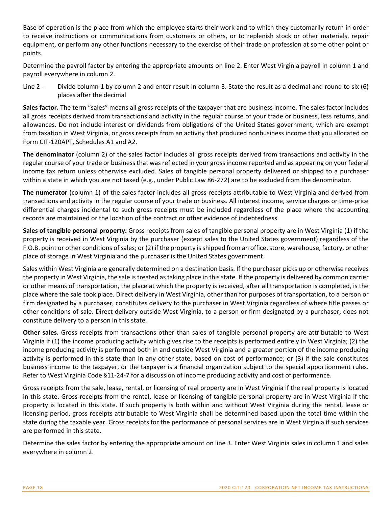Base of operation is the place from which the employee starts their work and to which they customarily return in order to receive instructions or communications from customers or others, or to replenish stock or other materials, repair equipment, or perform any other functions necessary to the exercise of their trade or profession at some other point or points.

Determine the payroll factor by entering the appropriate amounts on line 2. Enter West Virginia payroll in column 1 and payroll everywhere in column 2.

Line 2 - Divide column 1 by column 2 and enter result in column 3. State the result as a decimal and round to six (6) places after the decimal

**Sales factor.** The term "sales" means all gross receipts of the taxpayer that are business income. The sales factor includes all gross receipts derived from transactions and activity in the regular course of your trade or business, less returns, and allowances. Do not include interest or dividends from obligations of the United States government, which are exempt from taxation in West Virginia, or gross receipts from an activity that produced nonbusiness income that you allocated on Form CIT‐120APT, Schedules A1 and A2.

**The denominator** (column 2) of the sales factor includes all gross receipts derived from transactions and activity in the regular course of your trade or businessthat wasreflected in your grossincome reported and as appearing on your federal income tax return unless otherwise excluded. Sales of tangible personal property delivered or shipped to a purchaser within a state in which you are not taxed (e.g., under Public Law 86‐272) are to be excluded from the denominator.

**The numerator** (column 1) of the sales factor includes all gross receipts attributable to West Virginia and derived from transactions and activity in the regular course of your trade or business. All interest income, service charges or time‐price differential charges incidental to such gross receipts must be included regardless of the place where the accounting records are maintained or the location of the contract or other evidence of indebtedness.

**Sales of tangible personal property.** Gross receipts from sales of tangible personal property are in West Virginia (1) if the property is received in West Virginia by the purchaser (except sales to the United States government) regardless of the F.O.B. point or other conditions of sales; or (2) if the property is shipped from an office, store, warehouse, factory, or other place of storage in West Virginia and the purchaser is the United States government.

Sales within West Virginia are generally determined on a destination basis. If the purchaser picks up or otherwise receives the property in West Virginia, the sale is treated astaking place in thisstate. If the property is delivered by common carrier or other means of transportation, the place at which the property is received, after all transportation is completed, is the place where the sale took place. Direct delivery in West Virginia, other than for purposes of transportation, to a person or firm designated by a purchaser, constitutes delivery to the purchaser in West Virginia regardless of where title passes or other conditions of sale. Direct delivery outside West Virginia, to a person or firm designated by a purchaser, does not constitute delivery to a person in this state.

**Other sales.** Gross receipts from transactions other than sales of tangible personal property are attributable to West Virginia if (1) the income producing activity which gives rise to the receipts is performed entirely in West Virginia; (2) the income producing activity is performed both in and outside West Virginia and a greater portion of the income producing activity is performed in this state than in any other state, based on cost of performance; or (3) if the sale constitutes business income to the taxpayer, or the taxpayer is a financial organization subject to the special apportionment rules. Refer to West Virginia Code §11-24-7 for a discussion of income producing activity and cost of performance.

Gross receipts from the sale, lease, rental, or licensing of real property are in West Virginia if the real property is located in this state. Gross receipts from the rental, lease or licensing of tangible personal property are in West Virginia if the property is located in this state. If such property is both within and without West Virginia during the rental, lease or licensing period, gross receipts attributable to West Virginia shall be determined based upon the total time within the state during the taxable year. Gross receipts for the performance of personal services are in West Virginia if such services are performed in this state.

Determine the sales factor by entering the appropriate amount on line 3. Enter West Virginia sales in column 1 and sales everywhere in column 2.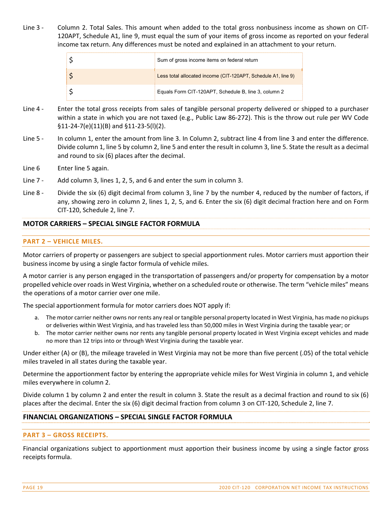Line 3 - Column 2. Total Sales. This amount when added to the total gross nonbusiness income as shown on CIT-120APT, Schedule A1, line 9, must equal the sum of your items of gross income as reported on your federal income tax return. Any differences must be noted and explained in an attachment to your return.

| Sum of gross income items on federal return                   |
|---------------------------------------------------------------|
| Less total allocated income (CIT-120APT, Schedule A1, line 9) |
| Equals Form CIT-120APT, Schedule B, line 3, column 2          |

- Line 4 Enter the total gross receipts from sales of tangible personal property delivered or shipped to a purchaser within a state in which you are not taxed (e.g., Public Law 86‐272). This is the throw out rule per WV Code §11‐24‐7(e)(11)(B) and §11‐23‐5(l)(2).
- Line 5 In column 1, enter the amount from line 3. In Column 2, subtract line 4 from line 3 and enter the difference. Divide column 1, line 5 by column 2, line 5 and enter the result in column 3, line 5. State the result as a decimal and round to six (6) places after the decimal.
- Line 6 Enter line 5 again.
- Line 7 Add column 3, lines 1, 2, 5, and 6 and enter the sum in column 3.
- Line 8 Divide the six (6) digit decimal from column 3, line 7 by the number 4, reduced by the number of factors, if any, showing zero in column 2, lines 1, 2, 5, and 6. Enter the six (6) digit decimal fraction here and on Form CIT‐120, Schedule 2, line 7.

#### **MOTOR CARRIERS – SPECIAL SINGLE FACTOR FORMULA**

#### **PART 2 – VEHICLE MILES.**

Motor carriers of property or passengers are subject to special apportionment rules. Motor carriers must apportion their business income by using a single factor formula of vehicle miles.

A motor carrier is any person engaged in the transportation of passengers and/or property for compensation by a motor propelled vehicle over roads in West Virginia, whether on a scheduled route or otherwise. The term "vehicle miles" means the operations of a motor carrier over one mile.

The special apportionment formula for motor carriers does NOT apply if:

- a. The motor carrier neither owns nor rents any real or tangible personal property located in West Virginia, has made no pickups or deliveries within West Virginia, and has traveled less than 50,000 miles in West Virginia during the taxable year; or
- b. The motor carrier neither owns nor rents any tangible personal property located in West Virginia except vehicles and made no more than 12 trips into or through West Virginia during the taxable year.

Under either (A) or (B), the mileage traveled in West Virginia may not be more than five percent (.05) of the total vehicle miles traveled in all states during the taxable year.

Determine the apportionment factor by entering the appropriate vehicle miles for West Virginia in column 1, and vehicle miles everywhere in column 2.

Divide column 1 by column 2 and enter the result in column 3. State the result as a decimal fraction and round to six (6) places after the decimal. Enter the six (6) digit decimal fraction from column 3 on CIT‐120, Schedule 2, line 7.

#### **FINANCIAL ORGANIZATIONS – SPECIAL SINGLE FACTOR FORMULA**

#### **PART 3 – GROSS RECEIPTS.**

Financial organizations subject to apportionment must apportion their business income by using a single factor gross receipts formula.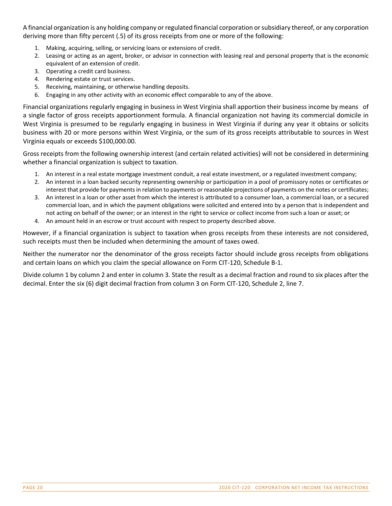A financial organization is any holding company or regulated financial corporation orsubsidiary thereof, or any corporation deriving more than fifty percent (.5) of its gross receipts from one or more of the following:

- 1. Making, acquiring, selling, or servicing loans or extensions of credit.
- 2. Leasing or acting as an agent, broker, or advisor in connection with leasing real and personal property that is the economic equivalent of an extension of credit.
- 3. Operating a credit card business.
- 4. Rendering estate or trust services.
- 5. Receiving, maintaining, or otherwise handling deposits.
- 6. Engaging in any other activity with an economic effect comparable to any of the above.

Financial organizations regularly engaging in business in West Virginia shall apportion their business income by means of a single factor of gross receipts apportionment formula. A financial organization not having its commercial domicile in West Virginia is presumed to be regularly engaging in business in West Virginia if during any year it obtains or solicits business with 20 or more persons within West Virginia, or the sum of its gross receipts attributable to sources in West Virginia equals or exceeds \$100,000.00.

Gross receipts from the following ownership interest (and certain related activities) will not be considered in determining whether a financial organization is subject to taxation.

- 1. An interest in a real estate mortgage investment conduit, a real estate investment, or a regulated investment company;
- 2. An interest in a loan backed security representing ownership or participation in a pool of promissory notes or certificates or interest that provide for payments in relation to payments or reasonable projections of payments on the notes or certificates;
- 3. An interest in a loan or other asset from which the interest is attributed to a consumer loan, a commercial loan, or a secured commercial loan, and in which the payment obligations were solicited and entered into by a person that is independent and not acting on behalf of the owner; or an interest in the right to service or collect income from such a loan or asset; or
- 4. An amount held in an escrow or trust account with respect to property described above.

However, if a financial organization is subject to taxation when gross receipts from these interests are not considered, such receipts must then be included when determining the amount of taxes owed.

Neither the numerator nor the denominator of the gross receipts factor should include gross receipts from obligations and certain loans on which you claim the special allowance on Form CIT‐120, Schedule B‐1.

Divide column 1 by column 2 and enter in column 3. State the result as a decimal fraction and round to six places after the decimal. Enter the six (6) digit decimal fraction from column 3 on Form CIT‐120, Schedule 2, line 7.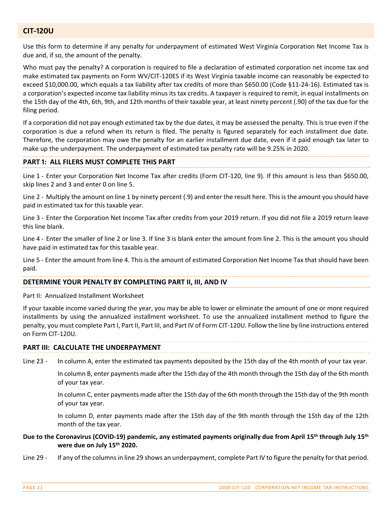#### **CIT-120U**

Use this form to determine if any penalty for underpayment of estimated West Virginia Corporation Net Income Tax is due and, if so, the amount of the penalty.

Who must pay the penalty? A corporation is required to file a declaration of estimated corporation net income tax and make estimated tax payments on Form WV/CIT‐120ES if its West Virginia taxable income can reasonably be expected to exceed \$10,000.00, which equals a tax liability after tax credits of more than \$650.00 (Code §11‐24‐16). Estimated tax is a corporation's expected income tax liability minus its tax credits. A taxpayer is required to remit, in equal installments on the 15th day of the 4th, 6th, 9th, and 12th months of their taxable year, at least ninety percent (.90) of the tax due for the filing period.

If a corporation did not pay enough estimated tax by the due dates, it may be assessed the penalty. This is true even if the corporation is due a refund when its return is filed. The penalty is figured separately for each installment due date. Therefore, the corporation may owe the penalty for an earlier installment due date, even if it paid enough tax later to make up the underpayment. The underpayment of estimated tax penalty rate will be 9.25% in 2020.

#### **PART 1: ALL FILERS MUST COMPLETE THIS PART**

Line 1 - Enter your Corporation Net Income Tax after credits (Form CIT-120, line 9). If this amount is less than \$650.00, skip lines 2 and 3 and enter 0 on line 5.

Line 2 ‐ Multiply the amount on line 1 by ninety percent (.9) and enter the result here. This is the amount you should have paid in estimated tax for this taxable year.

Line 3 ‐ Enter the Corporation Net Income Tax after credits from your 2019 return. If you did not file a 2019 return leave this line blank.

Line 4 ‐ Enter the smaller of line 2 or line 3. If line 3 is blank enter the amount from line 2. This is the amount you should have paid in estimated tax for this taxable year.

Line 5 ‐ Enter the amount from line 4. This is the amount of estimated Corporation Net Income Tax that should have been paid.

#### **DETERMINE YOUR PENALTY BY COMPLETING PART II, III, AND IV**

Part II: Annualized Installment Worksheet

If your taxable income varied during the year, you may be able to lower or eliminate the amount of one or more required installments by using the annualized installment worksheet. To use the annualized installment method to figure the penalty, you must complete Part I, Part II, Part III, and Part IV of Form CIT‐120U. Follow the line by line instructions entered on Form CIT‐120U.

#### **PART III: CALCULATE THE UNDERPAYMENT**

Line 23 - In column A, enter the estimated tax payments deposited by the 15th day of the 4th month of your tax year.

In column B, enter payments made after the 15th day of the 4th month through the 15th day of the 6th month of your tax year.

In column C, enter payments made after the 15th day of the 6th month through the 15th day of the 9th month of your tax year.

In column D, enter payments made after the 15th day of the 9th month through the 15th day of the 12th month of the tax year.

#### Due to the Coronavirus (COVID-19) pandemic, any estimated payments originally due from April 15<sup>th</sup> through July 15<sup>th</sup> **were due on July 15th 2020.**

Line 29 - If any of the columns in line 29 shows an underpayment, complete Part IV to figure the penalty for that period.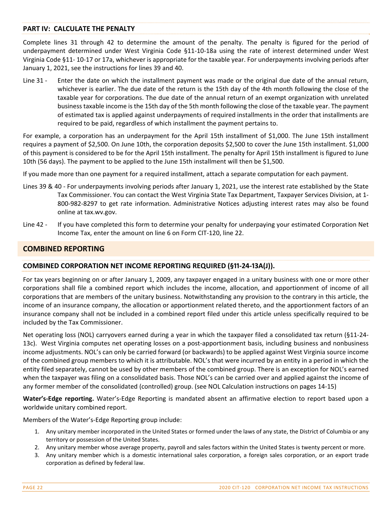#### **PART IV: CALCULATE THE PENALTY**

Complete lines 31 through 42 to determine the amount of the penalty. The penalty is figured for the period of underpayment determined under West Virginia Code §11‐10‐18a using the rate of interest determined under West Virginia Code §11‐ 10‐17 or 17a, whichever is appropriate for the taxable year. For underpayments involving periods after January 1, 2021, see the instructions for lines 39 and 40.

Line 31 - Enter the date on which the installment payment was made or the original due date of the annual return, whichever is earlier. The due date of the return is the 15th day of the 4th month following the close of the taxable year for corporations. The due date of the annual return of an exempt organization with unrelated businesstaxable income is the 15th day of the 5th month following the close of the taxable year. The payment of estimated tax is applied against underpayments of required installments in the order that installments are required to be paid, regardless of which installment the payment pertains to.

For example, a corporation has an underpayment for the April 15th installment of \$1,000. The June 15th installment requires a payment of \$2,500. On June 10th, the corporation deposits \$2,500 to cover the June 15th installment. \$1,000 of this payment is considered to be for the April 15th installment. The penalty for April 15th installment is figured to June 10th (56 days). The payment to be applied to the June 15th installment will then be \$1,500.

If you made more than one payment for a required installment, attach a separate computation for each payment.

- Lines 39 & 40 ‐ For underpayments involving periods after January 1, 2021, use the interest rate established by the State Tax Commissioner. You can contact the West Virginia State Tax Department, Taxpayer Services Division, at 1‐ 800‐982‐8297 to get rate information. Administrative Notices adjusting interest rates may also be found online at tax.wv.gov.
- Line 42 If you have completed this form to determine your penalty for underpaying your estimated Corporation Net Income Tax, enter the amount on line 6 on Form CIT‐120, line 22.

#### **COMBINED REPORTING**

#### **COMBINED CORPORATION NET INCOME REPORTING REQUIRED (§11-24-13A(J)).**

For tax years beginning on or after January 1, 2009, any taxpayer engaged in a unitary business with one or more other corporations shall file a combined report which includes the income, allocation, and apportionment of income of all corporations that are members of the unitary business. Notwithstanding any provision to the contrary in this article, the income of an insurance company, the allocation or apportionment related thereto, and the apportionment factors of an insurance company shall not be included in a combined report filed under this article unless specifically required to be included by the Tax Commissioner.

Net operating loss (NOL) carryovers earned during a year in which the taxpayer filed a consolidated tax return (§11‐24‐ 13c). West Virginia computes net operating losses on a post‐apportionment basis, including business and nonbusiness income adjustments. NOL's can only be carried forward (or backwards) to be applied against West Virginia source income of the combined group members to which it is attributable. NOL's that were incurred by an entity in a period in which the entity filed separately, cannot be used by other members of the combined group. There is an exception for NOL's earned when the taxpayer was filing on a consolidated basis. Those NOL's can be carried over and applied against the income of any former member of the consolidated (controlled) group. (see NOL Calculation instructions on pages 14‐15)

**Water's‐Edge reporting.** Water's‐Edge Reporting is mandated absent an affirmative election to report based upon a worldwide unitary combined report.

Members of the Water's‐Edge Reporting group include:

- 1. Any unitary member incorporated in the United States or formed under the laws of any state, the District of Columbia or any territory or possession of the United States.
- 2. Any unitary member whose average property, payroll and sales factors within the United States is twenty percent or more.
- 3. Any unitary member which is a domestic international sales corporation, a foreign sales corporation, or an export trade corporation as defined by federal law.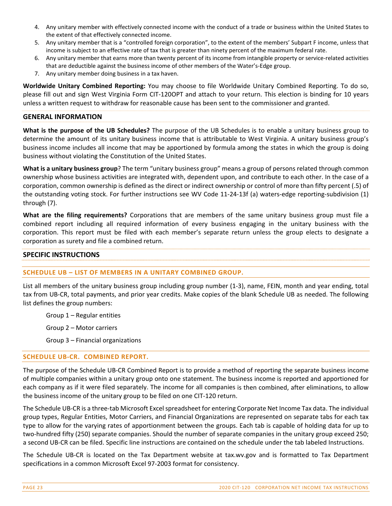- 4. Any unitary member with effectively connected income with the conduct of a trade or business within the United States to the extent of that effectively connected income.
- 5. Any unitary member that is a "controlled foreign corporation", to the extent of the members' Subpart F income, unless that income is subject to an effective rate of tax that is greater than ninety percent of the maximum federal rate.
- 6. Any unitary member that earns more than twenty percent of its income from intangible property or service-related activities that are deductible against the business income of other members of the Water's‐Edge group.
- 7. Any unitary member doing business in a tax haven.

**Worldwide Unitary Combined Reporting:** You may choose to file Worldwide Unitary Combined Reporting. To do so, please fill out and sign West Virginia Form CIT‐120OPT and attach to your return. This election is binding for 10 years unless a written request to withdraw for reasonable cause has been sent to the commissioner and granted.

#### **GENERAL INFORMATION**

**What is the purpose of the UB Schedules?** The purpose of the UB Schedules is to enable a unitary business group to determine the amount of its unitary business income that is attributable to West Virginia. A unitary business group's business income includes all income that may be apportioned by formula among the states in which the group is doing business without violating the Constitution of the United States.

**What is a unitary business group**? The term "unitary business group" means a group of persons related through common ownership whose business activities are integrated with, dependent upon, and contribute to each other. In the case of a corporation, common ownership is defined as the direct or indirect ownership or control of more than fifty percent (.5) of the outstanding voting stock. For further instructions see WV Code 11-24-13f (a) waters-edge reporting-subdivision (1) through (7).

**What are the filing requirements?** Corporations that are members of the same unitary business group must file a combined report including all required information of every business engaging in the unitary business with the corporation. This report must be filed with each member's separate return unless the group elects to designate a corporation as surety and file a combined return.

#### **SPECIFIC INSTRUCTIONS**

#### **SCHEDULE UB – LIST OF MEMBERS IN A UNITARY COMBINED GROUP.**

List all members of the unitary business group including group number (1‐3), name, FEIN, month and year ending, total tax from UB‐CR, total payments, and prior year credits. Make copies of the blank Schedule UB as needed. The following list defines the group numbers:

Group 1 – Regular entities

Group 2 – Motor carriers

Group 3 – Financial organizations

#### **SCHEDULE UB‐CR. COMBINED REPORT.**

The purpose of the Schedule UB‐CR Combined Report is to provide a method of reporting the separate business income of multiple companies within a unitary group onto one statement. The business income is reported and apportioned for each company as if it were filed separately. The income for all companies is then combined, after eliminations, to allow the business income of the unitary group to be filed on one CIT‐120 return.

The Schedule UB‐CR is a three‐tab Microsoft Excelspreadsheet for entering Corporate Net Income Tax data. The individual group types, Regular Entities, Motor Carriers, and Financial Organizations are represented on separate tabs for each tax type to allow for the varying rates of apportionment between the groups. Each tab is capable of holding data for up to two-hundred fifty (250) separate companies. Should the number of separate companies in the unitary group exceed 250; a second UB‐CR can be filed. Specific line instructions are contained on the schedule under the tab labeled Instructions.

The Schedule UB‐CR is located on the Tax Department website at tax.wv.gov and is formatted to Tax Department specifications in a common Microsoft Excel 97‐2003 format for consistency.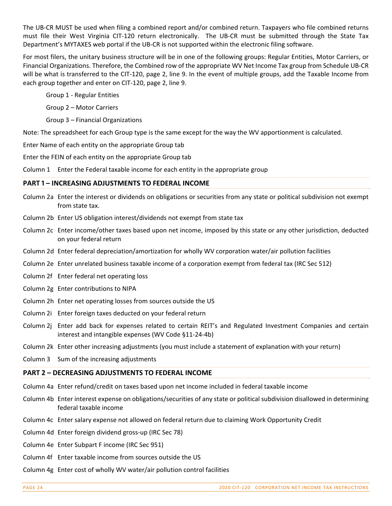The UB‐CR MUST be used when filing a combined report and/or combined return. Taxpayers who file combined returns must file their West Virginia CIT-120 return electronically. The UB-CR must be submitted through the State Tax Department's MYTAXES web portal if the UB‐CR is not supported within the electronic filing software.

For most filers, the unitary business structure will be in one of the following groups: Regular Entities, Motor Carriers, or Financial Organizations. Therefore, the Combined row of the appropriate WV Net Income Tax group from Schedule UB‐CR will be what is transferred to the CIT-120, page 2, line 9. In the event of multiple groups, add the Taxable Income from each group together and enter on CIT‐120, page 2, line 9.

Group 1 ‐ Regular Entities

Group 2 – Motor Carriers

Group 3 – Financial Organizations

Note: The spreadsheet for each Group type is the same except for the way the WV apportionment is calculated.

Enter Name of each entity on the appropriate Group tab

Enter the FEIN of each entity on the appropriate Group tab

Column 1 Enter the Federal taxable income for each entity in the appropriate group

#### **PART 1 – INCREASING ADJUSTMENTS TO FEDERAL INCOME**

- Column 2a Enter the interest or dividends on obligations or securities from any state or political subdivision not exempt from state tax.
- Column 2b Enter US obligation interest/dividends not exempt from state tax
- Column 2c Enter income/other taxes based upon net income, imposed by this state or any other jurisdiction, deducted on your federal return
- Column 2d Enter federal depreciation/amortization for wholly WV corporation water/air pollution facilities
- Column 2e Enter unrelated business taxable income of a corporation exempt from federal tax (IRC Sec 512)
- Column 2f Enter federal net operating loss
- Column 2g Enter contributions to NIPA
- Column 2h Enter net operating losses from sources outside the US
- Column 2i Enter foreign taxes deducted on your federal return
- Column 2j Enter add back for expenses related to certain REIT's and Regulated Investment Companies and certain interest and intangible expenses (WV Code §11‐24‐4b)
- Column 2k Enter other increasing adjustments (you must include a statement of explanation with your return)
- Column 3 Sum of the increasing adjustments

#### **PART 2 – DECREASING ADJUSTMENTS TO FEDERAL INCOME**

- Column 4a Enter refund/credit on taxes based upon net income included in federal taxable income
- Column 4b Enter interest expense on obligations/securities of any state or political subdivision disallowed in determining federal taxable income
- Column 4c Enter salary expense not allowed on federal return due to claiming Work Opportunity Credit
- Column 4d Enter foreign dividend gross‐up (IRC Sec 78)
- Column 4e Enter Subpart F income (IRC Sec 951)
- Column 4f Enter taxable income from sources outside the US
- Column 4g Enter cost of wholly WV water/air pollution control facilities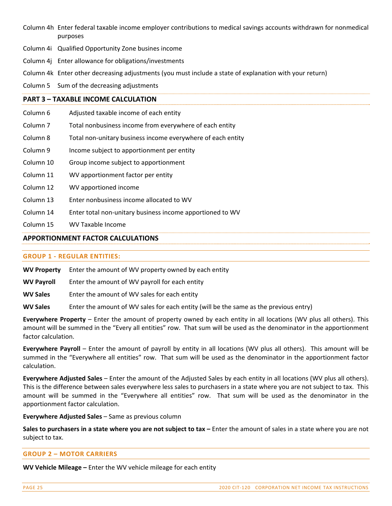- Column 4h Enter federal taxable income employer contributions to medical savings accounts withdrawn for nonmedical purposes
- Column 4i Qualified Opportunity Zone busines income
- Column 4j Enter allowance for obligations/investments
- Column 4k Enter other decreasing adjustments (you must include a state of explanation with your return)
- Column 5 Sum of the decreasing adjustments

#### **PART 3 – TAXABLE INCOME CALCULATION**

- Column 6 Adjusted taxable income of each entity
- Column 7 Total nonbusiness income from everywhere of each entity
- Column 8 Total non-unitary business income everywhere of each entity
- Column 9 Income subject to apportionment per entity
- Column 10 Group income subject to apportionment
- Column 11 WV apportionment factor per entity
- Column 12 WV apportioned income
- Column 13 Enter nonbusiness income allocated to WV
- Column 14 Enter total non‐unitary business income apportioned to WV
- Column 15 WV Taxable Income

#### **APPORTIONMENT FACTOR CALCULATIONS**

#### **GROUP 1 ‐ REGULAR ENTITIES:**

**WV Property** Enter the amount of WV property owned by each entity

**WV Payroll**  Enter the amount of WV payroll for each entity

**WV Sales** Enter the amount of WV sales for each entity

**WV Sales** Enter the amount of WV sales for each entity (will be the same as the previous entry)

**Everywhere Property** – Enter the amount of property owned by each entity in all locations (WV plus all others). This amount will be summed in the "Every all entities" row. That sum will be used as the denominator in the apportionment factor calculation.

**Everywhere Payroll** – Enter the amount of payroll by entity in all locations (WV plus all others). This amount will be summed in the "Everywhere all entities" row. That sum will be used as the denominator in the apportionment factor calculation.

**Everywhere Adjusted Sales** – Enter the amount of the Adjusted Sales by each entity in all locations (WV plus all others). This is the difference between sales everywhere less sales to purchasers in a state where you are not subject to tax. This amount will be summed in the "Everywhere all entities" row. That sum will be used as the denominator in the apportionment factor calculation.

**Everywhere Adjusted Sales** – Same as previous column

**Sales to purchasers in a state where you are not subject to tax –** Enter the amount of sales in a state where you are not subject to tax.

#### **GROUP 2 – MOTOR CARRIERS**

**WV Vehicle Mileage –** Enter the WV vehicle mileage for each entity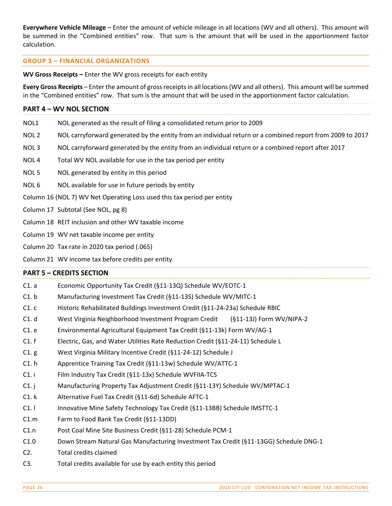**Everywhere Vehicle Mileage** – Enter the amount of vehicle mileage in all locations (WV and all others). This amount will be summed in the "Combined entities" row. That sum is the amount that will be used in the apportionment factor calculation.

#### **GROUP 3 – FINANCIAL ORGANIZATIONS**

**WV Gross Receipts –** Enter the WV gross receipts for each entity

**Every Gross Receipts** – Enter the amount of grossreceiptsin all locations(WV and all others). This amount will be summed in the "Combined entities" row. That sum is the amount that will be used in the apportionment factor calculation.

## **PART 4 – WV NOL SECTION** NOL1 NOL generated as the result of filing a consolidated return prior to 2009 NOL 2 NOL carryforward generated by the entity from an individual return or a combined report from 2009 to 2017

- NOL 3 NOL carryforward generated by the entity from an individual return or a combined report after 2017
- NOL 4 Total WV NOL available for use in the tax period per entity
- NOL 5 NOL generated by entity in this period
- NOL 6 NOL available for use in future periods by entity

Column 16 (NOL 7) WV Net Operating Loss used this tax period per entity

- Column 17 Subtotal (See NOL, pg 8)
- Column 18 REIT inclusion and other WV taxable income
- Column 19 WV net taxable income per entity
- Column 20 Tax rate in 2020 tax period (.065)
- Column 21 WV income tax before credits per entity

#### **PART ϧ – CREDITS SECTION**

- C1. a Economic Opportunity Tax Credit (§11‐13Q) Schedule WV/EOTC‐1 C1. b Manufacturing Investment Tax Credit (§11‐13S) Schedule WV/MITC‐1 C1. c Historic Rehabilitated Buildings Investment Credit (§11‐24‐23a) Schedule RBIC C1. d West Virginia Neighborhood Investment Program Credit (§11‐13J) Form WV/NIPA‐2 C1. e Environmental Agricultural Equipment Tax Credit (§11‐13k) Form WV/AG‐1 C1. f Electric, Gas, and Water Utilities Rate Reduction Credit (§11‐24‐11) Schedule L C1. g West Virginia Military Incentive Credit (§11‐24‐12) Schedule J C1. h Apprentice Training Tax Credit (§11‐13w) Schedule WV/ATTC‐1 C1. i Film Industry Tax Credit (§11‐13x) Schedule WVFIIA‐TCS C1. j Manufacturing Property Tax Adjustment Credit (§11‐13Y) Schedule WV/MPTAC‐1 C1. k Alternative Fuel Tax Credit (§11‐6d) Schedule AFTC‐1 C1. l Innovative Mine Safety Technology Tax Credit (§11‐13BB) Schedule IMSTTC‐1 C1.m Farm to Food Bank Tax Credit (§11‐13DD) C1.n Post Coal Mine Site Business Credit (§11‐28) Schedule PCM‐1 C1.0 Down Stream Natural Gas Manufacturing Investment Tax Credit (§11‐13GG) Schedule DNG‐1
- C2. Total credits claimed
- C3. Total credits available for use by each entity this period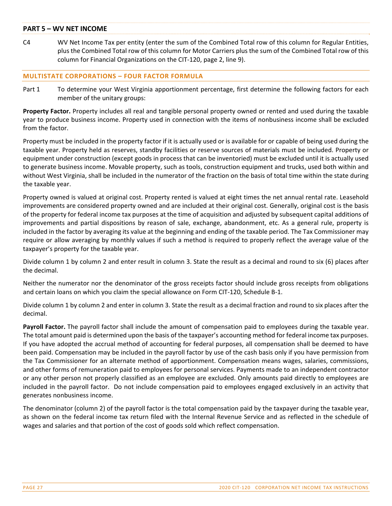#### **PART ϧ – WV NET INCOME**

C4 WV Net Income Tax per entity (enter the sum of the Combined Total row of this column for Regular Entities, plus the Combined Total row of this column for Motor Carriers plus the sum of the Combined Total row of this column for Financial Organizations on the CIT‐120, page 2, line 9).

#### **MULTISTATE CORPORATIONS – FOUR FACTOR FORMULA**

Part 1 To determine your West Virginia apportionment percentage, first determine the following factors for each member of the unitary groups:

**Property Factor.** Property includes all real and tangible personal property owned or rented and used during the taxable year to produce business income. Property used in connection with the items of nonbusiness income shall be excluded from the factor.

Property must be included in the property factor if it is actually used or is available for or capable of being used during the taxable year. Property held as reserves, standby facilities or reserve sources of materials must be included. Property or equipment under construction (except goods in process that can be inventoried) must be excluded until it is actually used to generate business income. Movable property, such as tools, construction equipment and trucks, used both within and without West Virginia, shall be included in the numerator of the fraction on the basis of total time within the state during the taxable year.

Property owned is valued at original cost. Property rented is valued at eight times the net annual rental rate. Leasehold improvements are considered property owned and are included at their original cost. Generally, original cost is the basis of the property for federal income tax purposes at the time of acquisition and adjusted by subsequent capital additions of improvements and partial dispositions by reason of sale, exchange, abandonment, etc. As a general rule, property is included in the factor by averaging its value at the beginning and ending of the taxable period. The Tax Commissioner may require or allow averaging by monthly values if such a method is required to properly reflect the average value of the taxpayer's property for the taxable year.

Divide column 1 by column 2 and enter result in column 3. State the result as a decimal and round to six (6) places after the decimal.

Neither the numerator nor the denominator of the gross receipts factor should include gross receipts from obligations and certain loans on which you claim the special allowance on Form CIT‐120, Schedule B‐1.

Divide column 1 by column 2 and enter in column 3. State the result as a decimal fraction and round to six places after the decimal.

**Payroll Factor.** The payroll factor shall include the amount of compensation paid to employees during the taxable year. The total amount paid is determined upon the basis of the taxpayer's accounting method for federal income tax purposes. If you have adopted the accrual method of accounting for federal purposes, all compensation shall be deemed to have been paid. Compensation may be included in the payroll factor by use of the cash basis only if you have permission from the Tax Commissioner for an alternate method of apportionment. Compensation means wages, salaries, commissions, and other forms of remuneration paid to employees for personal services. Payments made to an independent contractor or any other person not properly classified as an employee are excluded. Only amounts paid directly to employees are included in the payroll factor. Do not include compensation paid to employees engaged exclusively in an activity that generates nonbusiness income.

The denominator (column 2) of the payroll factor is the total compensation paid by the taxpayer during the taxable year, as shown on the federal income tax return filed with the Internal Revenue Service and as reflected in the schedule of wages and salaries and that portion of the cost of goods sold which reflect compensation.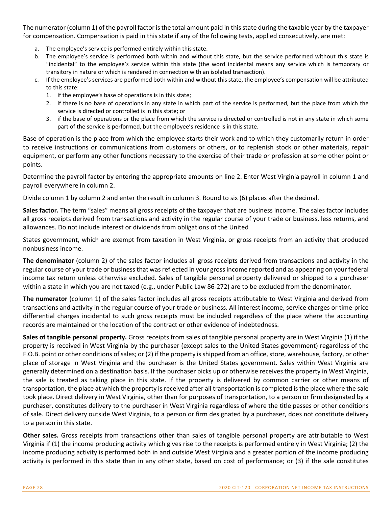The numerator (column 1) of the payroll factor is the total amount paid in this state during the taxable year by the taxpayer for compensation. Compensation is paid in this state if any of the following tests, applied consecutively, are met:

- a. The employee's service is performed entirely within this state.
- b. The employee's service is performed both within and without this state, but the service performed without this state is "incidental" to the employee's service within this state (the word incidental means any service which is temporary or transitory in nature or which is rendered in connection with an isolated transaction).
- c. If the employee's services are performed both within and without this state, the employee's compensation will be attributed to this state:
	- 1. if the employee's base of operations is in this state;
	- 2. if there is no base of operations in any state in which part of the service is performed, but the place from which the service is directed or controlled is in this state; or
	- 3. if the base of operations or the place from which the service is directed or controlled is not in any state in which some part of the service is performed, but the employee's residence is in this state.

Base of operation is the place from which the employee starts their work and to which they customarily return in order to receive instructions or communications from customers or others, or to replenish stock or other materials, repair equipment, or perform any other functions necessary to the exercise of their trade or profession at some other point or points.

Determine the payroll factor by entering the appropriate amounts on line 2. Enter West Virginia payroll in column 1 and payroll everywhere in column 2.

Divide column 1 by column 2 and enter the result in column 3. Round to six (6) places after the decimal.

**Sales factor.** The term "sales" means all gross receipts of the taxpayer that are business income. The sales factor includes all gross receipts derived from transactions and activity in the regular course of your trade or business, less returns, and allowances. Do not include interest or dividends from obligations of the United

States government, which are exempt from taxation in West Virginia, or gross receipts from an activity that produced nonbusiness income.

**The denominator** (column 2) of the sales factor includes all gross receipts derived from transactions and activity in the regular course of your trade or businessthat wasreflected in your grossincome reported and as appearing on your federal income tax return unless otherwise excluded. Sales of tangible personal property delivered or shipped to a purchaser within a state in which you are not taxed (e.g., under Public Law 86‐272) are to be excluded from the denominator.

**The numerator** (column 1) of the sales factor includes all gross receipts attributable to West Virginia and derived from transactions and activity in the regular course of your trade or business. All interest income, service charges or time‐price differential charges incidental to such gross receipts must be included regardless of the place where the accounting records are maintained or the location of the contract or other evidence of indebtedness.

**Sales of tangible personal property.** Gross receipts from sales of tangible personal property are in West Virginia (1) if the property is received in West Virginia by the purchaser (except sales to the United States government) regardless of the F.O.B. point or other conditions of sales; or (2) if the property is shipped from an office, store, warehouse, factory, or other place of storage in West Virginia and the purchaser is the United States government. Sales within West Virginia are generally determined on a destination basis. If the purchaser picks up or otherwise receives the property in West Virginia, the sale is treated as taking place in this state. If the property is delivered by common carrier or other means of transportation, the place at which the property is received after all transportation is completed isthe place where the sale took place. Direct delivery in West Virginia, other than for purposes of transportation, to a person or firm designated by a purchaser, constitutes delivery to the purchaser in West Virginia regardless of where the title passes or other conditions of sale. Direct delivery outside West Virginia, to a person or firm designated by a purchaser, does not constitute delivery to a person in this state.

**Other sales.** Gross receipts from transactions other than sales of tangible personal property are attributable to West Virginia if (1) the income producing activity which gives rise to the receipts is performed entirely in West Virginia; (2) the income producing activity is performed both in and outside West Virginia and a greater portion of the income producing activity is performed in this state than in any other state, based on cost of performance; or (3) if the sale constitutes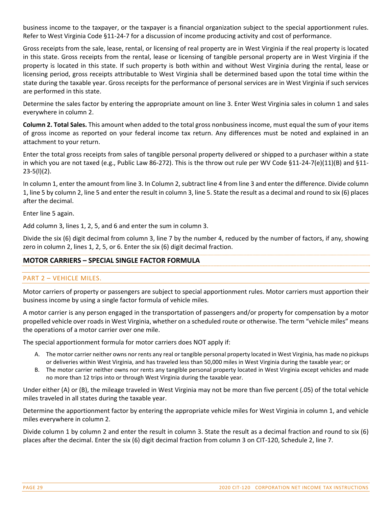business income to the taxpayer, or the taxpayer is a financial organization subject to the special apportionment rules. Refer to West Virginia Code §11-24-7 for a discussion of income producing activity and cost of performance.

Gross receipts from the sale, lease, rental, or licensing of real property are in West Virginia if the real property is located in this state. Gross receipts from the rental, lease or licensing of tangible personal property are in West Virginia if the property is located in this state. If such property is both within and without West Virginia during the rental, lease or licensing period, gross receipts attributable to West Virginia shall be determined based upon the total time within the state during the taxable year. Gross receipts for the performance of personal services are in West Virginia if such services are performed in this state.

Determine the sales factor by entering the appropriate amount on line 3. Enter West Virginia sales in column 1 and sales everywhere in column 2.

**Column 2. Total Sales.** This amount when added to the total gross nonbusiness income, must equal the sum of your items of gross income as reported on your federal income tax return. Any differences must be noted and explained in an attachment to your return.

Enter the total gross receipts from sales of tangible personal property delivered or shipped to a purchaser within a state in which you are not taxed (e.g., Public Law 86‐272). This is the throw out rule per WV Code §11‐24‐7(e)(11)(B) and §11‐  $23-5(l)(2)$ .

In column 1, enter the amount from line 3. In Column 2, subtract line 4 from line 3 and enter the difference. Divide column 1, line 5 by column 2, line 5 and enter the result in column 3, line 5. State the result as a decimal and round to six (6) places after the decimal.

Enter line 5 again.

Add column 3, lines 1, 2, 5, and 6 and enter the sum in column 3.

Divide the six (6) digit decimal from column 3, line 7 by the number 4, reduced by the number of factors, if any, showing zero in column 2, lines 1, 2, 5, or 6. Enter the six (6) digit decimal fraction.

#### **MOTOR CARRIERS – SPECIAL SINGLE FACTOR FORMULA**

#### PART 2 – VEHICLE MILES.

Motor carriers of property or passengers are subject to special apportionment rules. Motor carriers must apportion their business income by using a single factor formula of vehicle miles.

A motor carrier is any person engaged in the transportation of passengers and/or property for compensation by a motor propelled vehicle over roadsin West Virginia, whether on a scheduled route or otherwise. The term "vehicle miles" means the operations of a motor carrier over one mile.

The special apportionment formula for motor carriers does NOT apply if:

- A. The motor carrier neither owns nor rents any real or tangible personal property located in West Virginia, has made no pickups or deliveries within West Virginia, and has traveled less than 50,000 miles in West Virginia during the taxable year; or
- B. The motor carrier neither owns nor rents any tangible personal property located in West Virginia except vehicles and made no more than 12 trips into or through West Virginia during the taxable year.

Under either (A) or (B), the mileage traveled in West Virginia may not be more than five percent (.05) of the total vehicle miles traveled in all states during the taxable year.

Determine the apportionment factor by entering the appropriate vehicle miles for West Virginia in column 1, and vehicle miles everywhere in column 2.

Divide column 1 by column 2 and enter the result in column 3. State the result as a decimal fraction and round to six (6) places after the decimal. Enter the six (6) digit decimal fraction from column 3 on CIT‐120, Schedule 2, line 7.